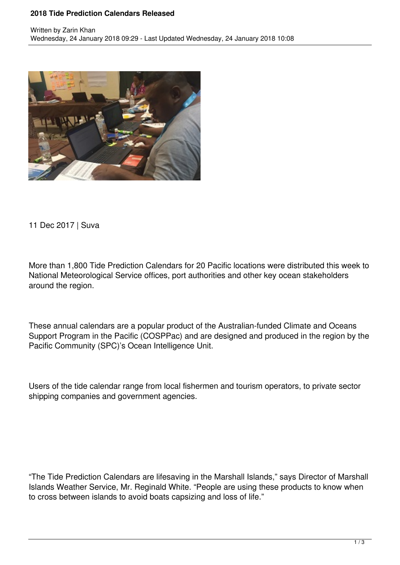## **2018 Tide Prediction Calendars Released**



11 Dec 2017 | Suva

More than 1,800 Tide Prediction Calendars for 20 Pacific locations were distributed this week to National Meteorological Service offices, port authorities and other key ocean stakeholders around the region.

These annual calendars are a popular product of the Australian-funded Climate and Oceans Support Program in the Pacific (COSPPac) and are designed and produced in the region by the Pacific Community (SPC)'s Ocean Intelligence Unit.

Users of the tide calendar range from local fishermen and tourism operators, to private sector shipping companies and government agencies.

"The Tide Prediction Calendars are lifesaving in the Marshall Islands," says Director of Marshall Islands Weather Service, Mr. Reginald White. "People are using these products to know when to cross between islands to avoid boats capsizing and loss of life."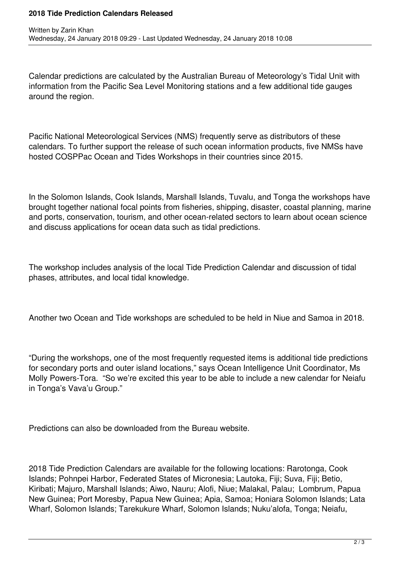## **2018 Tide Prediction Calendars Released**

Calendar predictions are calculated by the Australian Bureau of Meteorology's Tidal Unit with information from the Pacific Sea Level Monitoring stations and a few additional tide gauges around the region.

Pacific National Meteorological Services (NMS) frequently serve as distributors of these calendars. To further support the release of such ocean information products, five NMSs have hosted COSPPac Ocean and Tides Workshops in their countries since 2015.

In the Solomon Islands, Cook Islands, Marshall Islands, Tuvalu, and Tonga the workshops have brought together national focal points from fisheries, shipping, disaster, coastal planning, marine and ports, conservation, tourism, and other ocean-related sectors to learn about ocean science and discuss applications for ocean data such as tidal predictions.

The workshop includes analysis of the local Tide Prediction Calendar and discussion of tidal phases, attributes, and local tidal knowledge.

Another two Ocean and Tide workshops are scheduled to be held in Niue and Samoa in 2018.

"During the workshops, one of the most frequently requested items is additional tide predictions for secondary ports and outer island locations," says Ocean Intelligence Unit Coordinator, Ms Molly Powers-Tora. "So we're excited this year to be able to include a new calendar for Neiafu in Tonga's Vava'u Group."

Predictions can also be downloaded from the Bureau website.

2018 Tide Prediction Calendars are available for the following locations: Rarotonga, Cook Islands; Pohnpei Harbor, Federated States of Micronesia; Lautoka, Fiji; Suva, Fiji; Betio, Kiribati; Majuro, Marshall Islands; Aiwo, Nauru; Alofi, Niue; Malakal, Palau; Lombrum, Papua New Guinea; Port Moresby, Papua New Guinea; Apia, Samoa; Honiara Solomon Islands; Lata Wharf, Solomon Islands; Tarekukure Wharf, Solomon Islands; Nuku'alofa, Tonga; Neiafu,